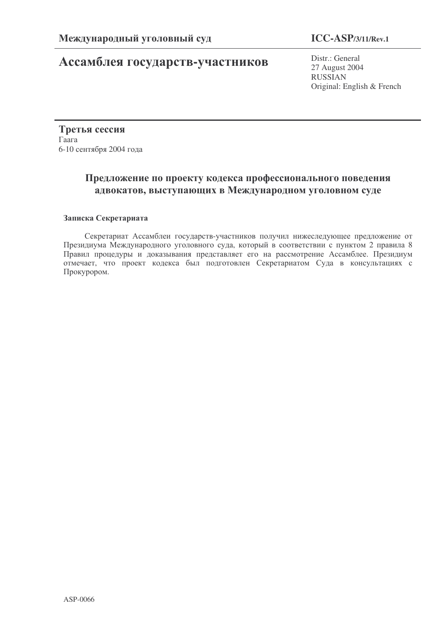# Ассамблея государств-участников

**ICC-ASP/3/11/Rev.1**

Distr.: General 27 August 2004 RUSSIAN Original: English & French

Третья сессия  $\Gamma$ аага 6-10 сентября 2004 года

# Предложение по проекту кодекса профессионального поведения адвокатов, выступающих в Международном уголовном суде

# Записка Секретариата

Секретариат Ассамблеи государств-участников получил нижеследующее предложение от Президиума Международного уголовного суда, который в соответствии с пунктом 2 правила 8 Правил процедуры и доказывания представляет его на рассмотрение Ассамблее. Президиум отмечает, что проект кодекса был подготовлен Секретариатом Суда в консультациях с Прокурором.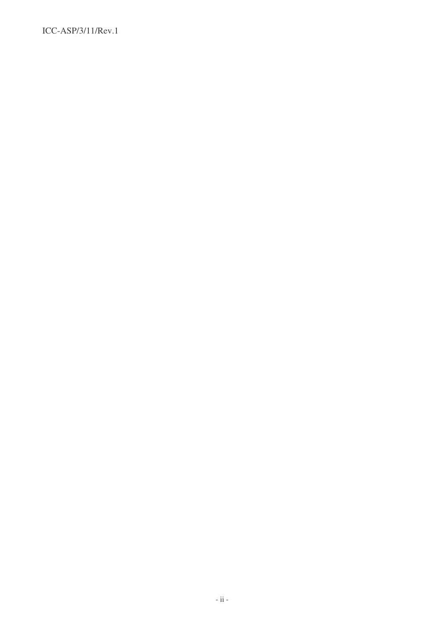ICC-ASP/3/11/Rev.1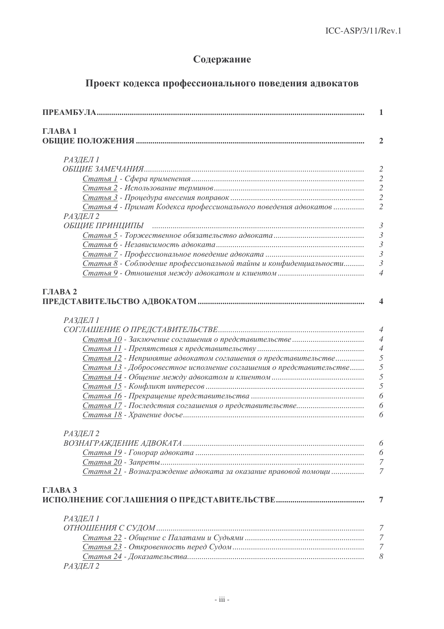# Содержание

# Проект кодекса профессионального поведения адвокатов

|                                                                      | $\mathbf{1}$                               |
|----------------------------------------------------------------------|--------------------------------------------|
| ГЛАВА 1                                                              | $\overline{2}$                             |
| РАЗДЕЛ 1                                                             |                                            |
|                                                                      | $\overline{2}$                             |
|                                                                      |                                            |
|                                                                      | $\begin{array}{c} 2 \\ 2 \\ 2 \end{array}$ |
|                                                                      |                                            |
| Статья 4 - Примат Кодекса профессионального поведения адвокатов      | $\overline{2}$                             |
| РАЗДЕЛ 2                                                             |                                            |
| ОБЩИЕ ПРИНЦИПЫ ПРИНЦИПЫ ПРО ПРИНЦИПЫ ПРИНЦИПЫ ПРИНЦИПЫ               | $\mathfrak{Z}$                             |
|                                                                      | $\overline{3}$                             |
|                                                                      | $\mathfrak{Z}$                             |
|                                                                      | $\overline{3}$                             |
| Статья 8 - Соблюдение профессиональной тайны и конфиденциальности    | $\overline{3}$                             |
|                                                                      | $\overline{4}$                             |
| ГЛАВА 2                                                              | $\overline{\mathbf{4}}$                    |
| РАЗДЕЛ 1                                                             |                                            |
|                                                                      | $\overline{4}$                             |
|                                                                      | $\overline{4}$                             |
|                                                                      | $\overline{4}$                             |
| Статья 12 - Непринятие адвокатом соглашения о представительстве      |                                            |
| Статья 13 - Добросовестное исполнение соглашения о представительстве | $\frac{5}{5}$                              |
|                                                                      | $\overline{5}$                             |
|                                                                      | 5                                          |
|                                                                      | 6                                          |
|                                                                      | 6                                          |
|                                                                      | 6                                          |
|                                                                      |                                            |
| РАЗДЕЛ 2                                                             | 6                                          |
|                                                                      |                                            |
|                                                                      | 6<br>$\overline{7}$                        |
|                                                                      | $\overline{7}$                             |
| Статья 21 - Вознаграждение адвоката за оказание правовой помощи      |                                            |
| ГЛАВА 3                                                              |                                            |
|                                                                      | $\overline{7}$                             |
| РАЗДЕЛ 1                                                             |                                            |
|                                                                      | 7                                          |
|                                                                      | $\boldsymbol{7}$                           |
|                                                                      | $\boldsymbol{7}$                           |
| РАЗДЕЛ 2                                                             | $\boldsymbol{\delta}$                      |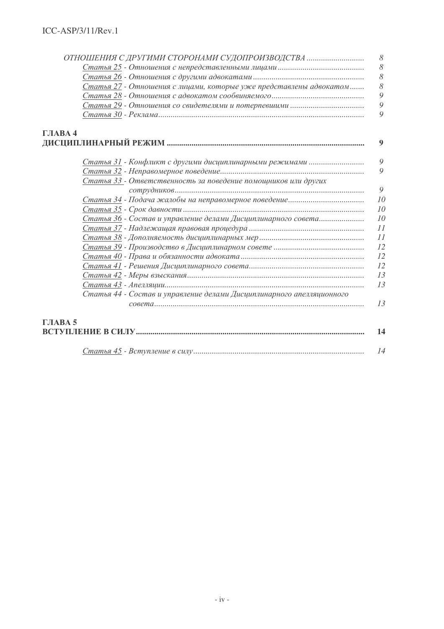| ОТНОШЕНИЯ С ДРУГИМИ СТОРОНАМИ СУДОПРОИЗВОДСТВА                        | 8                |
|-----------------------------------------------------------------------|------------------|
|                                                                       | $\delta$         |
|                                                                       | $\mathcal S$     |
| Статья 27 - Отношения с лицами, которые уже представлены адвокатом    | 8                |
|                                                                       | 9                |
|                                                                       | 9                |
|                                                                       | 9                |
|                                                                       |                  |
| ГЛАВА 4                                                               |                  |
|                                                                       | $\boldsymbol{9}$ |
|                                                                       | 9                |
|                                                                       | 9                |
| Статья 33 - Ответственность за поведение помощников или других        |                  |
|                                                                       | 9                |
|                                                                       | 10               |
|                                                                       | 10               |
| Статья 36 - Состав и управление делами Дисциплинарного совета         | 10               |
|                                                                       | 11               |
|                                                                       | 11               |
|                                                                       | 12               |
|                                                                       | 12               |
|                                                                       | 12               |
|                                                                       | 13               |
|                                                                       | 13               |
| Статья 44 - Состав и управление делами Дисциплинарного апелляционного |                  |
|                                                                       | 13               |
| ГЛАВА 5                                                               |                  |
|                                                                       | 14               |
|                                                                       | 14               |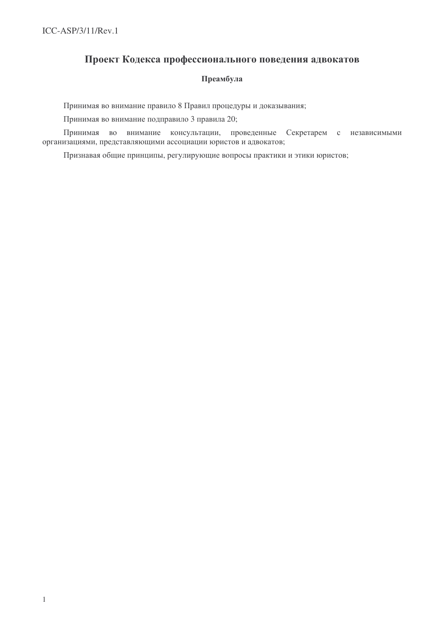# Проект Кодекса профессионального поведения адвокатов

# Преамбула

Принимая во внимание правило 8 Правил процедуры и доказывания;

Принимая во внимание подправило 3 правила 20;

Принимая во внимание консультации, проведенные Секретарем с независимыми организациями, представляющими ассоциации юристов и адвокатов;

Признавая общие принципы, регулирующие вопросы практики и этики юристов;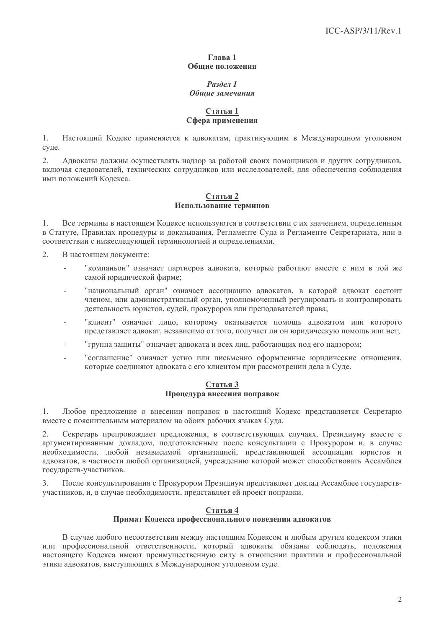#### Глявя 1 Обшие положения

#### Раздел 1 Обшие замечания

# Статья 1 Сфера применения

 $1<sup>1</sup>$ Настоящий Колекс применяется к алвокатам, практикующим в Межлународном уголовном суде.

 $\overline{2}$ . Адвокаты должны осуществлять надзор за работой своих помощников и других сотрудников, включая следователей, технических сотрудников или исследователей, для обеспечения соблюдения ими положений Колекса.

# Статья 2 Использование терминов

 $\mathbf{1}$ Все термины в настоящем Кодексе используются в соответствии с их значением, определенным в Статуте, Правилах процедуры и доказывания, Регламенте Суда и Регламенте Секретариата, или в соответствии с нижеследующей терминологией и определениями.

- $\mathcal{D}$ В настоящем локументе:
	- "компаньон" означает партнеров адвоката, которые работают вместе с ним в той же самой юридической фирме;
	- "национальный орган" означает ассоциацию адвокатов, в которой адвокат состоит членом, или алминистративный орган, уполномоченный регулировать и контролировать деятельность юристов, судей, прокуроров или преподавателей права;
	- "клиент" означает лицо, которому оказывается помощь адвокатом или которого представляет адвокат, независимо от того, получает ли он юридическую помощь или нет;
	- "группа защиты" означает адвоката и всех лиц, работающих под его надзором;
	- "соглашение" означает устно или письменно оформленные юридические отношения, которые соединяют адвоката с его клиентом при рассмотрении дела в Суде.

#### Статья 3 Процедура внесения поправок

 $1.$ Любое предложение о внесении поправок в настоящий Кодекс представляется Секретарю вместе с пояснительным материалом на обоих рабочих языках Суда.

Секретарь препровождает предложения, в соответствующих случаях, Президиуму вместе с 2. аргументированным докладом, подготовленным после консультации с Прокурором и, в случае необходимости, любой независимой организацией, представляющей ассоциации юристов и адвокатов, в частности любой организацией, учреждению которой может способствовать Ассамблея государств-участников.

После консультирования с Прокурором Президиум представляет доклад Ассамблее государств- $\mathcal{L}$ участников, и, в случае необходимости, представляет ей проект поправки.

# Статья 4 Примат Кодекса профессионального поведения адвокатов

В случае любого несоответствия между настоящим Кодексом и любым другим кодексом этики или профессиональной ответственности, который адвокаты обязаны соблюдать, положения настоящего Кодекса имеют преимущественную силу в отношении практики и профессиональной этики адвокатов, выступающих в Международном уголовном суде.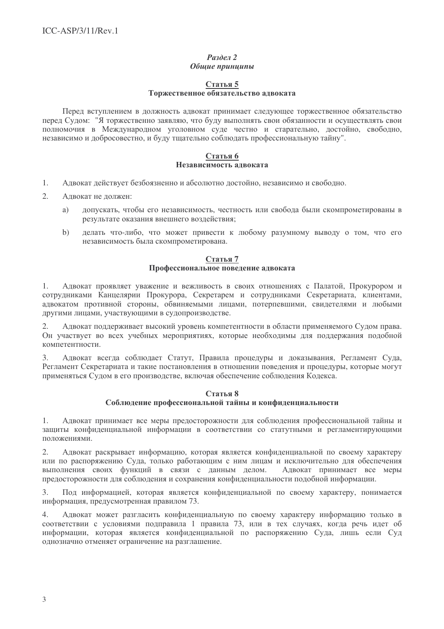## $P$ azden 2 Общие принципы

## Статья 5 Торжественное обязательство адвоката

Перед вступлением в должность алвокат принимает следующее торжественное обязательство перед Судом: "Я торжественно заявляю, что буду выполнять свои обязанности и осуществлять свои полномочия в Международном уголовном суде честно и старательно, достойно, свободно, независимо и добросовестно, и буду тшательно соблюдать профессиональную тайну".

#### Статья 6 Независимость алвоката

- $1<sub>1</sub>$ Адвокат действует безбоязненно и абсолютно достойно, независимо и свободно.
- $\mathcal{D}$ Алвокат не лолжен:
	- лопускать. чтобы его независимость, честность или свобода были скомпрометированы в  $a)$ результате оказания внешнего возлействия:
	- $b)$ делать что-либо, что может привести к любому разумному выводу о том, что его независимость была скомпрометирована.

#### Статья 7 Профессиональное поведение адвоката

Адвокат проявляет уважение и вежливость в своих отношениях с Палатой, Прокурором и 1. сотрудниками Канцелярии Прокурора, Секретарем и сотрудниками Секретариата, клиентами, адвокатом противной стороны, обвиняемыми лицами, потерпевшими, свидетелями и любыми другими лицами, участвующими в судопроизводстве.

Адвокат поддерживает высокий уровень компетентности в области применяемого Судом права. 2. Он участвует во всех учебных мероприятиях, которые необходимы для поддержания подобной компетентности.

 $\mathfrak{Z}$ . Адвокат всегда соблюдает Статут, Правила процедуры и доказывания, Регламент Суда, Регламент Секретариата и такие постановления в отношении поведения и процедуры, которые могут применяться Судом в его производстве, включая обеспечение соблюдения Кодекса.

#### Статья 8 Соблюдение профессиональной тайны и конфиденциальности

Адвокат принимает все меры предосторожности для соблюдения профессиональной тайны и 1. защиты конфиденциальной информации в соответствии со статутными и регламентирующими положениями.

Адвокат раскрывает информацию, которая является конфиденциальной по своему характеру 2. или по распоряжению Суда, только работающим с ним лицам и исключительно для обеспечения выполнения своих функций в связи с данным делом. Адвокат принимает все меры предосторожности для соблюдения и сохранения конфиденциальности подобной информации.

Под информацией, которая является конфиденциальной по своему характеру, понимается 3. информация, предусмотренная правилом 73.

 $4.$ Адвокат может разгласить конфиденциальную по своему характеру информацию только в соответствии с условиями подправила 1 правила 73, или в тех случаях, когда речь идет об информации, которая является конфиденциальной по распоряжению Суда, лишь если Суд однозначно отменяет ограничение на разглашение.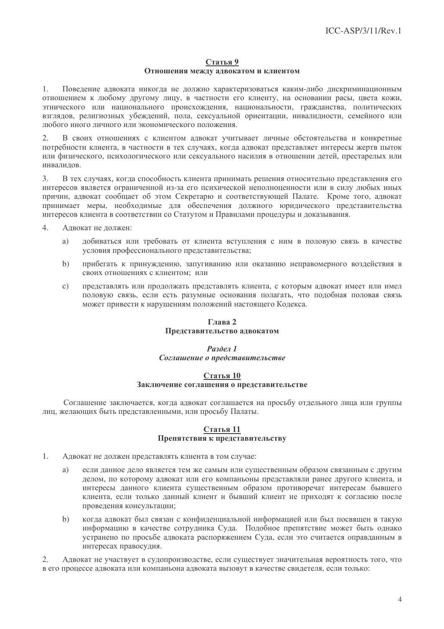#### Статья 9

# Отношения между адвокатом и клиентом

 $\mathbf{1}$ Поведение адвоката никогда не должно характеризоваться каким-либо дискриминационным отношением к любому другому лицу, в частности его клиенту, на основании расы, цвета кожи, этнического или национального происхождения, национальности, гражданства, политических взглялов, религиозных убежлений, пола, сексуальной ориентации, инвалилности, семейного или любого иного личного или экономического положения.

 $2.$ В своих отношениях с клиентом адвокат учитывает личные обстоятельства и конкретные потребности клиента, в частности в тех случаях, когла алвокат прелставляет интересы жертв пыток или физического, психологического или сексуального насилия в отношении детей, престарелых или инвалилов.

 $\mathcal{L}$ В тех случаях, когда способность клиента принимать решения относительно представления его интересов является ограниченной из-за его психической неполноценности или в силу любых иных причин, адвокат сообщает об этом Секретарю и соответствующей Палате. Кроме того, адвокат принимает меры, необходимые для обеспечения должного юридического представительства интересов клиента в соответствии со Статутом и Правилами процедуры и доказывания.

- $\overline{4}$ Алвокат не лолжен:
	- $a)$ добиваться или требовать от клиента вступления с ним в половую связь в качестве условия профессионального представительства:
	- прибегать к принуждению, запугиванию или оказанию неправомерного воздействия в  $b)$ своих отношениях с клиентом; или
	- представлять или продолжать представлять клиента, с которым адвокат имеет или имел  $\mathbf{c})$ половую связь, если есть разумные основания полагать, что подобная половая связь может привести к нарушениям положений настоящего Кодекса.

# Глава 2 Представительство адвокатом

# Раздел 1 Соглашение о представительстве

#### Статья 10 Заключение соглашения о представительстве

Соглашение заключается, когда адвокат соглашается на просьбу отдельного лица или группы лиц, желающих быть представленными, или просьбу Палаты.

#### Статья 11 Препятствия к представительству

- $1.$ Адвокат не должен представлять клиента в том случае:
	- если данное дело является тем же самым или существенным образом связанным с другим  $a)$ делом, по которому адвокат или его компаньоны представляли ранее другого клиента, и интересы данного клиента существенным образом противоречат интересам бывшего клиента, если только данный клиент и бывший клиент не приходят к согласию после проведения консультации;
	- $b)$ когда адвокат был связан с конфиденциальной информацией или был посвящен в такую информацию в качестве сотрудника Суда. Подобное препятствие может быть однако устранено по просьбе адвоката распоряжением Суда, если это считается оправданным в интересах правосудия.

 $2.$ Адвокат не участвует в судопроизводстве, если существует значительная вероятность того, что в его процессе адвоката или компаньона адвоката вызовут в качестве свидетеля, если только: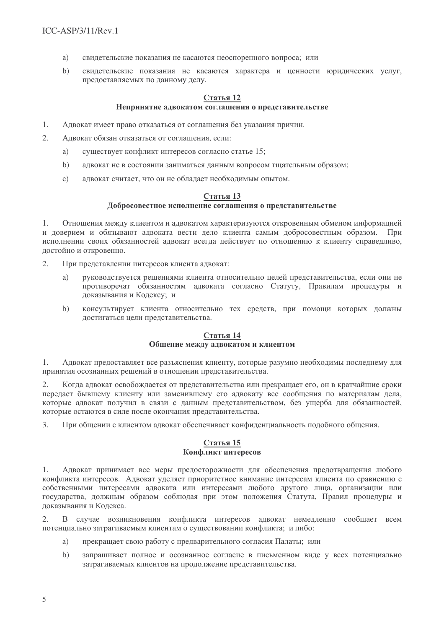- свидетельские показания не касаются неоспоренного вопроса: или  $a)$
- $b)$ свидетельские показания не касаются характера и ценности юридических услуг, предоставляемых по данному делу.

#### Статья 12 Непринятие адвокатом соглашения о представительстве

- $1<sub>1</sub>$ Адвокат имеет право отказаться от соглашения без указания причин.
- $\mathcal{L}$ Алвокат обязан отказаться от соглашения, если:
	- $a)$ существует конфликт интересов согласно статье 15;
	- $b)$ адвокат не в состоянии заниматься данным вопросом тщательным образом;
	- $\mathbf{c}$ ) алвокат считает, что он не облалает необходимым опытом.

# Статья 13

# Лобросовестное исполнение соглашения о представительстве

 $1<sub>1</sub>$ Отношения между клиентом и адвокатом характеризуются откровенным обменом информацией и доверием и обязывают адвоката вести дело клиента самым добросовестным образом. При исполнении своих обязанностей адвокат всегда действует по отношению к клиенту справедливо, достойно и откровенно.

- 2. При представлении интересов клиента адвокат:
	- руководствуется решениями клиента относительно целей представительства, если они не a) противоречат обязанностям адвоката согласно Статуту, Правилам процедуры и доказывания и Кодексу; и
	- консультирует клиента относительно тех средств, при помощи которых должны  $b)$ достигаться цели представительства.

#### Статья 14 Общение между адвокатом и клиентом

 $1.$ Адвокат предоставляет все разъяснения клиенту, которые разумно необходимы последнему для принятия осознанных решений в отношении представительства.

2. Когда адвокат освобождается от представительства или прекращает его, он в кратчайшие сроки передает бывшему клиенту или заменившему его адвокату все сообщения по материалам дела, которые адвокат получил в связи с данным представительством, без ущерба для обязанностей, которые остаются в силе после окончания представительства.

 $3.$ При общении с клиентом адвокат обеспечивает конфиденциальность подобного общения.

# **Статья 15** Конфликт интересов

Адвокат принимает все меры предосторожности для обеспечения предотвращения любого  $1.$ конфликта интересов. Адвокат уделяет приоритетное внимание интересам клиента по сравнению с собственными интересами адвоката или интересами любого другого лица, организации или государства, должным образом соблюдая при этом положения Статута, Правил процедуры и локазывания и Колекса.

В случае возникновения конфликта интересов адвокат немедленно сообщает всем 2. потенциально затрагиваемым клиентам о существовании конфликта; и либо:

- прекращает свою работу с предварительного согласия Палаты; или a)
- запрашивает полное и осознанное согласие в письменном виде у всех потенциально  $b)$ затрагиваемых клиентов на продолжение представительства.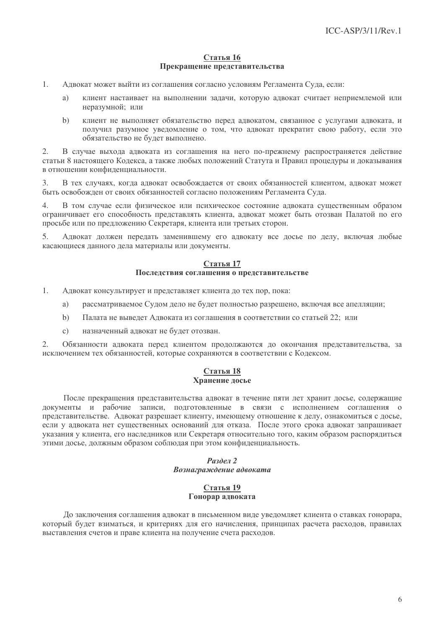#### Статья 16 Прекрашение представительства

- $1.$ Адвокат может выйти из соглашения согласно условиям Регламента Суда, если:
	- a) клиент настаивает на выполнении задачи, которую адвокат считает неприемлемой или неразумной; или
	- клиент не выполняет обязательство перед адвокатом, связанное с услугами адвоката, и  $h)$ получил разумное увеломление о том, что алвокат прекратит свою работу, если это обязательство не будет выполнено.

 $2.$ В случае выхода адвоката из соглашения на него по-прежнему распространяется действие статьи 8 настоящего Колекса, а также любых положений Статута и Правил процедуры и доказывания в отношении конфиленциальности.

 $\overline{3}$ . В тех случаях, когда адвокат освобождается от своих обязанностей клиентом, адвокат может быть освобожден от своих обязанностей согласно положениям Регламента Суда.

В том случае если физическое или психическое состояние алвоката существенным образом  $\overline{4}$ . ограничивает его способность представлять клиента, адвокат может быть отозван Палатой по его просьбе или по предложению Секретаря, клиента или третьих сторон.

 $5<sub>1</sub>$ Алвокат лолжен перелать заменившему его алвокату все лосье по лелу, включая любые касающиеся данного дела материалы или документы.

#### Статья 17 Последствия соглашения о представительстве

- 1. Адвокат консультирует и представляет клиента до тех пор, пока:
	- рассматриваемое Судом дело не будет полностью разрешено, включая все апелляции; a)
	- $b)$ Палата не выведет Адвоката из соглашения в соответствии со статьей 22; или
	- $\mathbf{c})$ назначенный адвокат не будет отозван.

 $2.$ Обязанности адвоката перед клиентом продолжаются до окончания представительства, за исключением тех обязанностей, которые сохраняются в соответствии с Кодексом.

#### **Статья 18** Хранение досье

После прекращения представительства адвокат в течение пяти лет хранит досье, содержащие документы и рабочие записи, подготовленные в связи с исполнением соглашения о представительстве. Адвокат разрешает клиенту, имеющему отношение к делу, ознакомиться с досье, если у адвоката нет существенных оснований для отказа. После этого срока адвокат запрашивает указания у клиента, его наследников или Секретаря относительно того, каким образом распорядиться этими досье, должным образом соблюдая при этом конфиденциальность.

# Раздел 2 Вознаграждение адвоката

#### Статья 19 Гонорар адвоката

До заключения соглашения адвокат в письменном виде уведомляет клиента о ставках гонорара, который будет взиматься, и критериях для его начисления, принципах расчета расходов, правилах выставления счетов и праве клиента на получение счета расходов.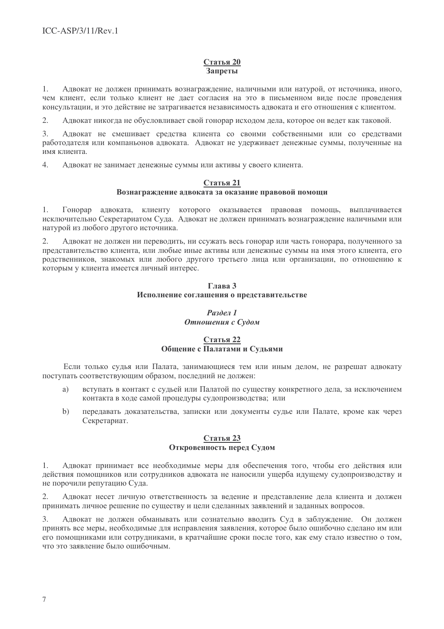#### Статья 20 Запреты

Алвокат не лолжен принимать вознагражление, наличными или натурой, от источника, иного,  $\mathbf{1}$ чем клиент, если только клиент не дает согласия на это в письменном виде после проведения консультации, и это действие не затрагивается независимость адвоката и его отношения с клиентом.

Адвокат никогда не обусловливает свой гонорар исходом дела, которое он ведет как таковой.  $\mathcal{L}$ 

Адвокат не смешивает средства клиента со своими собственными или со средствами  $\mathfrak{Z}$ . работодателя или компаньонов адвоката. Адвокат не удерживает денежные суммы, полученные на имя клиента.

 $\overline{4}$ . Адвокат не занимает денежные суммы или активы у своего клиента.

#### Статья 21 Вознаграждение адвоката за оказание правовой помощи

 $1<sub>1</sub>$ Гонорар адвоката, клиенту которого оказывается правовая помощь, выплачивается исключительно Секретариатом Суда. Адвокат не должен принимать вознаграждение наличными или натурой из любого другого источника.

 $2.$ Адвокат не должен ни переводить, ни ссужать весь гонорар или часть гонорара, полученного за представительство клиента, или любые иные активы или денежные суммы на имя этого клиента, его родственников, знакомых или любого другого третьего лица или организации, по отношению к которым у клиента имеется личный интерес.

# Глава 3 Исполнение соглашения о представительстве

#### Раздел 1 Отношения с Судом

# Статья 22 Общение с Палатами и Судьями

Если только судья или Палата, занимающиеся тем или иным делом, не разрешат адвокату поступать соответствующим образом, последний не должен:

- вступать в контакт с судьей или Палатой по существу конкретного дела, за исключением a) контакта в ходе самой процедуры судопроизводства; или
- $b)$ передавать доказательства, записки или документы судье или Палате, кроме как через Секретариат.

#### Статья 23 Откровенность перед Судом

Адвокат принимает все необходимые меры для обеспечения того, чтобы его действия или 1. действия помощников или сотрудников адвоката не наносили ущерба идущему судопроизводству и не порочили репутацию Суда.

Адвокат несет личную ответственность за ведение и представление дела клиента и должен  $\mathcal{D}$ принимать личное решение по существу и цели сделанных заявлений и заданных вопросов.

Адвокат не должен обманывать или сознательно вводить Суд в заблуждение. Он должен 3. принять все меры, необходимые для исправления заявления, которое было ошибочно сделано им или его помощниками или сотрудниками, в кратчайшие сроки после того, как ему стало известно о том, что это заявление было ошибочным.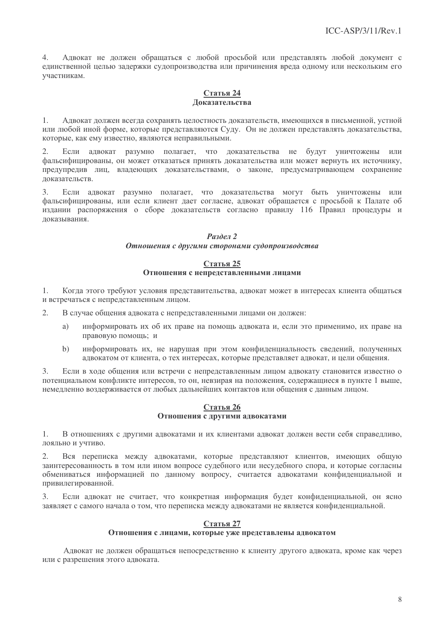Алвокат не должен обрашаться с любой просьбой или представлять любой документ с  $4.$ единственной целью задержки судопроизводства или причинения вреда одному или нескольким его участникам.

# Статья 24 **Локазательства**

Адвокат должен всегда сохранять целостность доказательств, имеющихся в письменной, устной  $1$ или любой иной форме, которые представляются Суду. Он не должен представлять доказательства, которые, как ему известно, являются неправильными.

 $\mathfrak{2}$ . Если адвокат разумно полагает, что доказательства не будут уничтожены ипи фальсифицированы, он может отказаться принять доказательства или может вернуть их источнику, предупредив лиц, владеющих доказательствами, о законе, предусматривающем сохранение локазательств.

Если адвокат разумно полагает, что доказательства могут быть уничтожены или  $\mathcal{L}$ фальсифицированы, или если клиент лает согласие, алвокат обрашается с просьбой к Палате об излании распоряжения о сборе локазательств согласно правилу 116 Правил процелуры и локазывания.

# Раздел 2 Отношения с другими сторонами судопроизводства

# <u>Статья 25</u> Отношения с непредставленными лицами

1. Когда этого требуют условия представительства, адвокат может в интересах клиента общаться и встречаться с непредставленным лицом.

 $2.$ В случае общения адвоката с непредставленными лицами он должен:

- информировать их об их праве на помощь адвоката и, если это применимо, их праве на a) правовую помощь; и
- информировать их, не нарушая при этом конфиденциальность сведений, полученных  $h)$ адвокатом от клиента, о тех интересах, которые представляет адвокат, и цели общения.

Если в ходе общения или встречи с непредставленным лицом адвокату становится известно о  $3.$ потенциальном конфликте интересов, то он, невзирая на положения, содержащиеся в пункте 1 выше, немедленно воздерживается от любых дальнейших контактов или общения с данным лицом.

#### Статья 26 Отношения с другими адвокатами

В отношениях с другими адвокатами и их клиентами адвокат должен вести себя справедливо, 1. лояльно и учтиво.

2. Вся переписка между адвокатами, которые представляют клиентов, имеющих общую заинтересованность в том или ином вопросе судебного или несудебного спора, и которые согласны обмениваться информацией по данному вопросу, считается адвокатами конфиденциальной и привилегированной.

 $3.$ Если адвокат не считает, что конкретная информация будет конфиденциальной, он ясно заявляет с самого начала о том, что переписка между адвокатами не является конфиденциальной.

# Статья 27

# Отношения с лицами, которые уже представлены адвокатом

Адвокат не должен обращаться непосредственно к клиенту другого адвоката, кроме как через или с разрешения этого адвоката.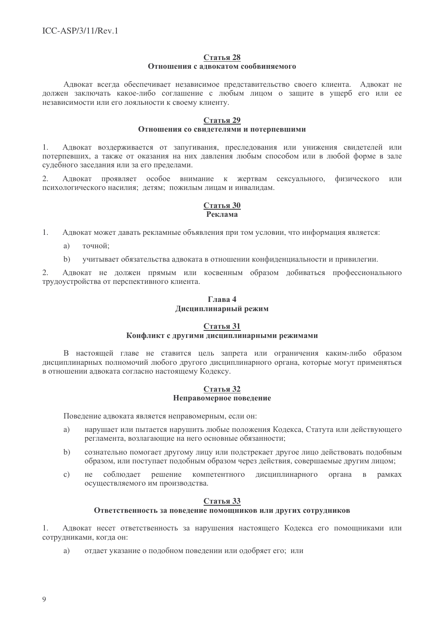#### Статья 28 Отношения с адвокатом сообвиняемого

Адвокат всегда обеспечивает независимое представительство своего клиента. Адвокат не должен заключать какое-либо соглашение с любым лицом о защите в ущерб его или ее независимости или его лояльности к своему клиенту.

#### Статья 29

#### Отношения со свидетелями и потерпевшими

Адвокат воздерживается от запугивания, преследования или унижения свидетелей или  $1.$ потерпевших, а также от оказания на них давления любым способом или в любой форме в зале судебного заседания или за его пределами.

 $\mathcal{D}$ А лвокат проявляет особое внимание к жертвам сексуального, физического ипи психологического насилия: летям: пожилым лицам и инвалилам.

#### Статья 30 Реклама

 $1<sub>1</sub>$ Адвокат может давать рекламные объявления при том условии, что информация является:

- $a)$ точной:
- учитывает обязательства алвоката в отношении конфиленциальности и привилегии.  $h)$

2. Адвокат не должен прямым или косвенным образом добиваться профессионального трудоустройства от перспективного клиента.

#### Глава 4 Дисциплинарный режим

#### Статья 31 Конфликт с другими дисциплинарными режимами

В настоящей главе не ставится цель запрета или ограничения каким-либо образом дисциплинарных полномочий любого другого дисциплинарного органа, которые могут применяться в отношении адвоката согласно настоящему Кодексу.

#### Статья 32 Неправомерное поведение

Поведение адвоката является неправомерным, если он:

- нарушает или пытается нарушить любые положения Кодекса, Статута или действующего a) регламента, возлагающие на него основные обязанности;
- сознательно помогает другому лицу или подстрекает другое лицо действовать подобным b) образом, или поступает подобным образом через действия, совершаемые другим лицом;
- соблюдает решение компетентного дисциплинарного нe органа в рамках  $\mathbf{c})$ осуществляемого им производства.

# Статья 33

# Ответственность за поведение помощников или других сотрудников

 $1.$ Адвокат несет ответственность за нарушения настоящего Кодекса его помощниками или сотрудниками, когда он:

отдает указание о подобном поведении или одобряет его; или a)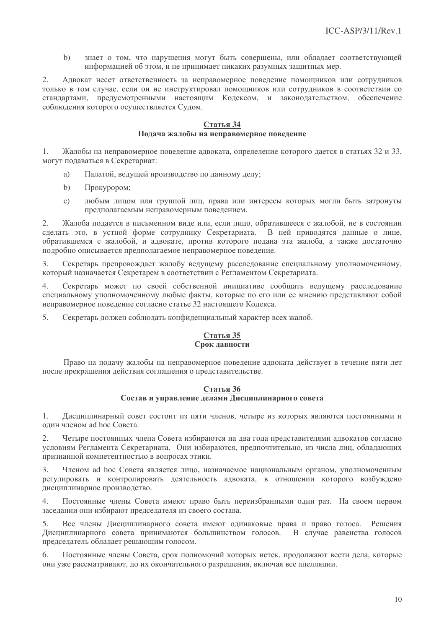$h)$ знает о том, что нарушения могут быть совершены, или обладает соответствующей информацией об этом, и не принимает никаких разумных зашитных мер.

 $2.$ Алвокат несет ответственность за неправомерное повеление помошников или сотрудников только в том случае, если он не инструктировал помощников или сотрудников в соответствии со стандартами, предусмотренными настоящим Кодексом, и законодательством, обеспечение соблюдения которого осуществляется Судом.

#### Статья 34 Подача жалобы на неправомерное поведение

 $1<sub>1</sub>$ Жалобы на неправомерное поведение адвоката, определение которого дается в статьях 32 и 33, могут подаваться в Секретариат:

- $a)$ Палатой, велушей производство по данному делу:
- $h)$ Прокурором:
- $\mathbf{c}$ ) любым лицом или группой лиц, права или интересы которых могли быть затронуты предполагаемым неправомерным поведением.

 $2.$ Жалоба подается в письменном виде или, если лицо, обратившееся с жалобой, не в состоянии сделать это, в устной форме сотруднику Секретариата. В ней приводятся данные о лице, обратившемся с жалобой, и адвокате, против которого подана эта жалоба, а также достаточно полробно описывается предполагаемое неправомерное поведение.

3. Секретарь препровождает жалобу ведущему расследование специальному уполномоченному, который назначается Секретарем в соответствии с Регламентом Секретариата.

Секретарь может по своей собственной инициативе сообщать ведущему расследование  $4.$ специальному уполномоченному любые факты, которые по его или ее мнению представляют собой неправомерное поведение согласно статье 32 настоящего Кодекса.

5. Секретарь должен соблюдать конфиденциальный характер всех жалоб.

#### Статья 35 Срок давности

Право на подачу жалобы на неправомерное поведение адвоката действует в течение пяти лет после прекращения действия соглашения о представительстве.

#### Статья 36 Состав и управление делами Дисциплинарного совета

 $1.$ Дисциплинарный совет состоит из пяти членов, четыре из которых являются постоянными и один членом ad hoc Совета.

Четыре постоянных члена Совета избираются на два года представителями адвокатов согласно  $2.$ условиям Регламента Секретариата. Они избираются, предпочтительно, из числа лиц, обладающих признанной компетентностью в вопросах этики.

Членом ad hoc Совета является лицо, назначаемое национальным органом, уполномоченным 3. регулировать и контролировать деятельность адвоката, в отношении которого возбуждено дисциплинарное производство.

 $4.$ Постоянные члены Совета имеют право быть переизбранными один раз. На своем первом заседании они избирают председателя из своего состава.

5. Все члены Дисциплинарного совета имеют одинаковые права и право голоса. Решения Дисциплинарного совета принимаются большинством голосов. В случае равенства голосов председатель обладает решающим голосом.

Постоянные члены Совета, срок полномочий которых истек, продолжают вести дела, которые 6. они уже рассматривают, до их окончательного разрешения, включая все апелляции.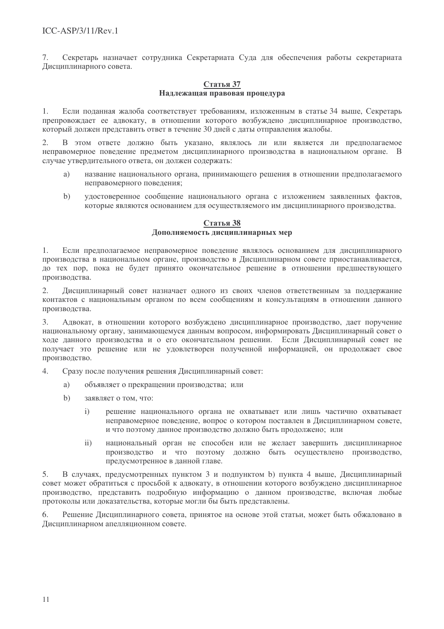$7<sub>1</sub>$ Секретарь назначает сотрудника Секретариата Суда для обеспечения работы секретариата Дисциплинарного совета.

#### Статья 37 Надлежащая правовая процедура

 $1<sub>1</sub>$ Если поданная жалоба соответствует требованиям, изложенным в статье 34 выше. Секретарь препровождает ее адвокату, в отношении которого возбуждено дисциплинарное производство, который должен представить ответ в течение 30 лней с латы отправления жалобы.

В этом ответе должно быть указано, являлось ли или является ли предполагаемое  $\mathcal{D}$ неправомерное поведение предметом дисциплинарного производства в национальном органе. В случае утвердительного ответа, он должен содержать:

- a) название национального органа, принимающего решения в отношении предполагаемого неправомерного поведения:
- $b)$ удостоверенное сообщение национального органа с изложением заявленных фактов, которые являются основанием для осушествляемого им дисциплинарного производства.

#### Статья 38 Дополняемость дисциплинарных мер

Если предполагаемое неправомерное поведение являлось основанием для дисциплинарного  $1$ производства в национальном органе, производство в Дисциплинарном совете приостанавливается, до тех пор, пока не будет принято окончательное решение в отношении предшествующего производства.

Дисциплинарный совет назначает одного из своих членов ответственным за поддержание  $2.$ контактов с национальным органом по всем сообщениям и консультациям в отношении данного производства.

3. Адвокат, в отношении которого возбуждено дисциплинарное производство, дает поручение национальному органу, занимающемуся данным вопросом, информировать Дисциплинарный совет о ходе данного производства и о его окончательном решении. Если Дисциплинарный совет не получает это решение или не удовлетворен полученной информацией, он продолжает свое производство.

 $4.$ Сразу после получения решения Дисциплинарный совет:

- a) объявляет о прекращении производства; или
- $b)$ заявляет о том. что:
	- решение национального органа не охватывает или лишь частично охватывает  $\overline{1}$ неправомерное поведение, вопрос о котором поставлен в Дисциплинарном совете, и что поэтому данное производство должно быть продолжено; или
	- $\mathbf{ii}$ национальный орган не способен или не желает завершить дисциплинарное производство и что поэтому должно быть осуществлено производство, предусмотренное в данной главе.

В случаях, предусмотренных пунктом 3 и подпунктом b) пункта 4 выше, Дисциплинарный 5. совет может обратиться с просьбой к адвокату, в отношении которого возбуждено дисциплинарное производство, представить подробную информацию о данном производстве, включая любые протоколы или доказательства, которые могли бы быть представлены.

Решение Дисциплинарного совета, принятое на основе этой статьи, может быть обжаловано в 6. Дисциплинарном апелляционном совете.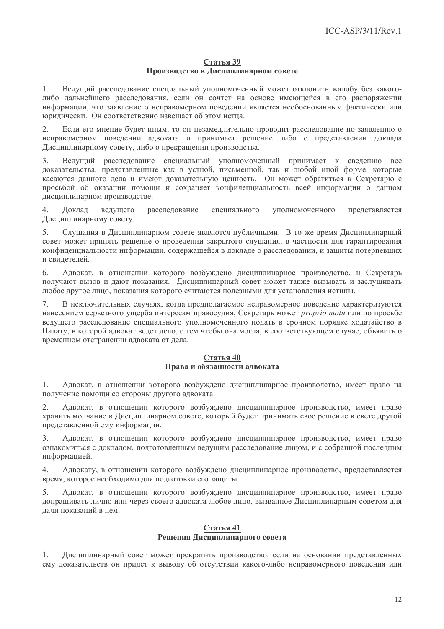#### Статья 39 Производство в Дисциплинарном совете

 $\mathbf{1}$ Ведущий расследование специальный уполномоченный может отклонить жалобу без какоголибо дальнейшего расследования, если он сочтет на основе имеющейся в его распоряжении информации, что заявление о неправомерном поведении является необоснованным фактически или юрилически. Он соответственно извешает об этом истца.

 $\mathcal{D}$ Если его мнение будет иным, то он незамеллительно проводит расследование по заявлению о неправомерном поведении адвоката и принимает решение либо о представлении доклада Лиспиплинарному совету, либо о прекрашении производства.

 $\overline{3}$ . Ведущий расследование специальный уполномоченный принимает к сведению все доказательства, представленные как в устной, письменной, так и любой иной форме, которые касаются данного дела и имеют доказательную ценность. Он может обратиться к Секретарю с просьбой об оказании помощи и сохраняет конфиденциальность всей информации о данном дисциплинарном производстве.

 $\overline{4}$ . Локлал велушего расследование спениального **УПОЛНОМОЧЕННОГО** прелставляется Лисциплинарному совету.

 $5<sub>1</sub>$ Слушания в Дисциплинарном совете являются публичными. В то же время Дисциплинарный совет может принять решение о проведении закрытого слушания, в частности для гарантирования конфиленциальности информации, солержащейся в локладе о расследовании, и защиты потерпевших и свидетелей.

6. Адвокат, в отношении которого возбуждено дисциплинарное производство, и Секретарь получают вызов и дают показания. Дисциплинарный совет может также вызывать и заслушивать любое другое лицо, показания которого считаются полезными для установления истины.

В исключительных случаях, когда предполагаемое неправомерное поведение характеризуются 7. нанесением серьезного ущерба интересам правосудия, Секретарь может *proprio motu или* по просьбе ведущего расследование специального уполномоченного подать в срочном порядке ходатайство в Палату, в которой адвокат ведет дело, с тем чтобы она могла, в соответствующем случае, объявить о временном отстранении адвоката от дела.

#### Статья 40 Права и обязанности адвоката

Адвокат, в отношении которого возбуждено дисциплинарное производство, имеет право на 1. получение помощи со стороны другого адвоката.

 $2.$ Адвокат, в отношении которого возбуждено дисциплинарное производство, имеет право хранить молчание в Дисциплинарном совете, который будет принимать свое решение в свете другой представленной ему информации.

 $\mathcal{E}$ Адвокат, в отношении которого возбуждено дисциплинарное производство, имеет право ознакомиться с докладом, подготовленным ведущим расследование лицом, и с собранной последним информацией.

Адвокату, в отношении которого возбуждено дисциплинарное производство, предоставляется  $4.$ время, которое необходимо для подготовки его защиты.

5. Адвокат, в отношении которого возбуждено дисциплинарное производство, имеет право допрашивать лично или через своего адвоката любое лицо, вызванное Дисциплинарным советом для дачи показаний в нем.

#### Статья 41 Решения Дисциплинарного совета

1. Дисциплинарный совет может прекратить производство, если на основании представленных ему доказательств он придет к выводу об отсутствии какого-либо неправомерного поведения или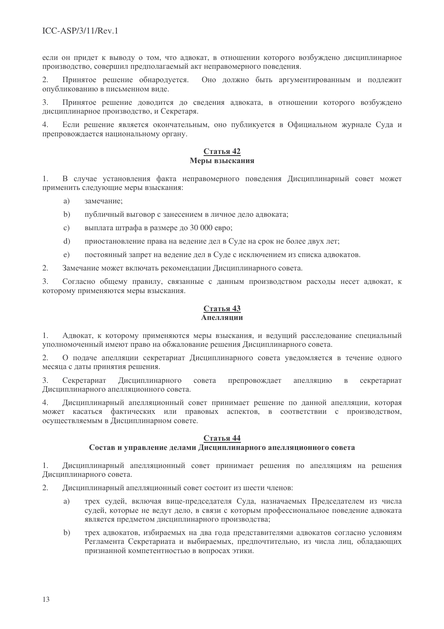если он придет к выводу о том, что адвокат, в отношении которого возбуждено дисциплинарное производство, совершил предполагаемый акт неправомерного поведения.

 $\overline{2}$ . Принятое решение обнародуется. Оно должно быть аргументированным и подлежит опубликованию в письменном виде.

Принятое решение доводится до сведения адвоката, в отношении которого возбуждено  $\mathcal{L}$ лисциплинарное производство, и Секретаря.

Если решение является окончательным, оно публикуется в Официальном журнале Суда и  $\overline{4}$ . препровождается национальному органу.

# Статья 42 Меры взыскания

 $1<sub>1</sub>$ В случае установления факта неправомерного повеления Лисциплинарный совет может применить следующие меры взыскания:

- $a)$ замечание:
- публичный выговор с занесением в личное дело адвоката;  $h)$
- выплата штрафа в размере до 30 000 евро;  $\mathcal{C}$ )
- $\mathrm{d}$ приостановление права на ведение дел в Суде на срок не более двух лет;
- $e)$ постоянный запрет на ведение дел в Суде с исключением из списка адвокатов.

 $2.$ Замечание может включать рекомендации Дисциплинарного совета.

 $\overline{3}$ . Согласно общему правилу, связанные с данным производством расходы несет адвокат, к которому применяются меры взыскания.

# Статья 43 Апелляции

1. Адвокат, к которому применяются меры взыскания, и ведущий расследование специальный уполномоченный имеют право на обжалование решения Дисциплинарного совета.

2. О подаче апелляции секретариат Дисциплинарного совета уведомляется в течение одного месяца с даты принятия решения.

3. Секретариат Дисциплинарного совета препровождает апелляцию секретариат  $\mathbf B$ Дисциплинарного апелляционного совета.

4. Дисциплинарный апелляционный совет принимает решение по данной апелляции, которая может касаться фактических или правовых аспектов, в соответствии с производством, осуществляемым в Дисциплинарном совете.

# Статья 44

#### Состав и управление делами Дисциплинарного апелляционного совета

Дисциплинарный апелляционный совет принимает решения по апелляциям на решения 1. Дисциплинарного совета.

 $2.$ Дисциплинарный апелляционный совет состоит из шести членов:

- трех судей, включая вице-председателя Суда, назначаемых Председателем из числа  $a)$ судей, которые не ведут дело, в связи с которым профессиональное поведение адвоката является предметом дисциплинарного производства;
- трех адвокатов, избираемых на два года представителями адвокатов согласно условиям  $b)$ Регламента Секретариата и выбираемых, предпочтительно, из числа лиц, обладающих признанной компетентностью в вопросах этики.